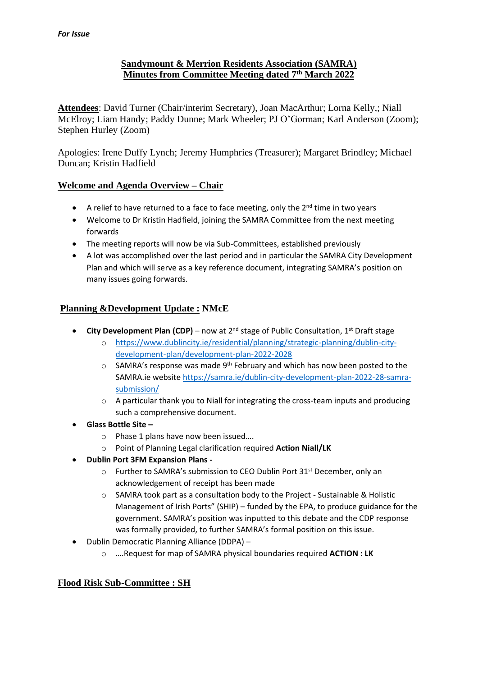# **Sandymount & Merrion Residents Association (SAMRA) Minutes from Committee Meeting dated 7 th March 2022**

**Attendees**: David Turner (Chair/interim Secretary), Joan MacArthur; Lorna Kelly,; Niall McElroy; Liam Handy; Paddy Dunne; Mark Wheeler; PJ O'Gorman; Karl Anderson (Zoom); Stephen Hurley (Zoom)

Apologies: Irene Duffy Lynch; Jeremy Humphries (Treasurer); Margaret Brindley; Michael Duncan; Kristin Hadfield

# **Welcome and Agenda Overview – Chair**

- A relief to have returned to a face to face meeting, only the  $2^{nd}$  time in two years
- Welcome to Dr Kristin Hadfield, joining the SAMRA Committee from the next meeting forwards
- The meeting reports will now be via Sub-Committees, established previously
- A lot was accomplished over the last period and in particular the SAMRA City Development Plan and which will serve as a key reference document, integrating SAMRA's position on many issues going forwards.

# **Planning &Development Update : NMcE**

- **City Development Plan (CDP)** now at 2nd stage of Public Consultation, 1st Draft stage
	- o [https://www.dublincity.ie/residential/planning/strategic-planning/dublin-city](https://www.dublincity.ie/residential/planning/strategic-planning/dublin-city-development-plan/development-plan-2022-2028)[development-plan/development-plan-2022-2028](https://www.dublincity.ie/residential/planning/strategic-planning/dublin-city-development-plan/development-plan-2022-2028)
	- o SAMRA's response was made 9th February and which has now been posted to the SAMRA.ie website [https://samra.ie/dublin-city-development-plan-2022-28-samra](https://samra.ie/dublin-city-development-plan-2022-28-samra-submission/)[submission/](https://samra.ie/dublin-city-development-plan-2022-28-samra-submission/)
	- $\circ$  A particular thank you to Niall for integrating the cross-team inputs and producing such a comprehensive document.
- **Glass Bottle Site –**
	- o Phase 1 plans have now been issued….
	- o Point of Planning Legal clarification required **Action Niall/LK**
- **Dublin Port 3FM Expansion Plans** 
	- o Further to SAMRA's submission to CEO Dublin Port 31st December, only an acknowledgement of receipt has been made
	- o SAMRA took part as a consultation body to the Project Sustainable & Holistic Management of Irish Ports" (SHIP) – funded by the EPA, to produce guidance for the government. SAMRA's position was inputted to this debate and the CDP response was formally provided, to further SAMRA's formal position on this issue.
- Dublin Democratic Planning Alliance (DDPA)
	- o ….Request for map of SAMRA physical boundaries required **ACTION : LK**

# **Flood Risk Sub-Committee : SH**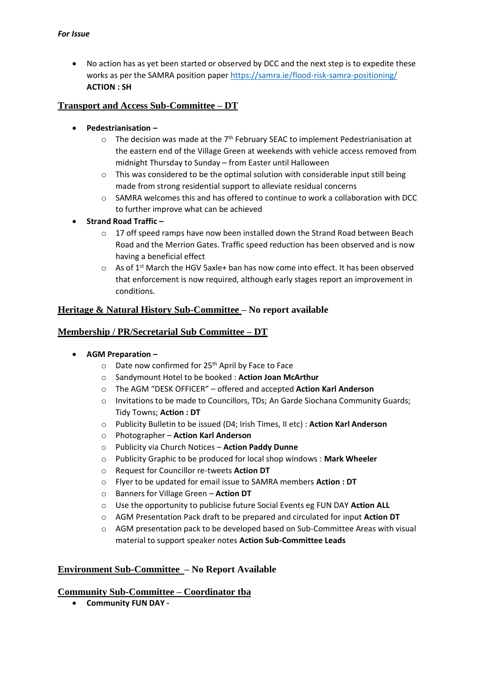• No action has as yet been started or observed by DCC and the next step is to expedite these works as per the SAMRA position paper<https://samra.ie/flood-risk-samra-positioning/> **ACTION : SH**

### **Transport and Access Sub-Committee – DT**

- **Pedestrianisation –**
	- $\circ$  The decision was made at the 7<sup>th</sup> February SEAC to implement Pedestrianisation at the eastern end of the Village Green at weekends with vehicle access removed from midnight Thursday to Sunday – from Easter until Halloween
	- $\circ$  This was considered to be the optimal solution with considerable input still being made from strong residential support to alleviate residual concerns
	- o SAMRA welcomes this and has offered to continue to work a collaboration with DCC to further improve what can be achieved
- **Strand Road Traffic –**
	- $\circ$  17 off speed ramps have now been installed down the Strand Road between Beach Road and the Merrion Gates. Traffic speed reduction has been observed and is now having a beneficial effect
	- $\circ$  As of 1<sup>st</sup> March the HGV 5axle+ ban has now come into effect. It has been observed that enforcement is now required, although early stages report an improvement in conditions.

# **Heritage & Natural History Sub-Committee – No report available**

#### **Membership / PR/Secretarial Sub Committee – DT**

#### • **AGM Preparation –**

- $\circ$  Date now confirmed for 25<sup>th</sup> April by Face to Face
- o Sandymount Hotel to be booked : **Action Joan McArthur**
- o The AGM "DESK OFFICER" offered and accepted **Action Karl Anderson**
- o Invitations to be made to Councillors, TDs; An Garde Siochana Community Guards; Tidy Towns; **Action : DT**
- o Publicity Bulletin to be issued (D4; Irish Times, II etc) : **Action Karl Anderson**
- o Photographer **Action Karl Anderson**
- o Publicity via Church Notices **Action Paddy Dunne**
- o Publicity Graphic to be produced for local shop windows : **Mark Wheeler**
- o Request for Councillor re-tweets **Action DT**
- o Flyer to be updated for email issue to SAMRA members **Action : DT**
- o Banners for Village Green **Action DT**
- o Use the opportunity to publicise future Social Events eg FUN DAY **Action ALL**
- o AGM Presentation Pack draft to be prepared and circulated for input **Action DT**
- o AGM presentation pack to be developed based on Sub-Committee Areas with visual material to support speaker notes **Action Sub-Committee Leads**

#### **Environment Sub-Committee – No Report Available**

#### **Community Sub-Committee – Coordinator tba**

• **Community FUN DAY -**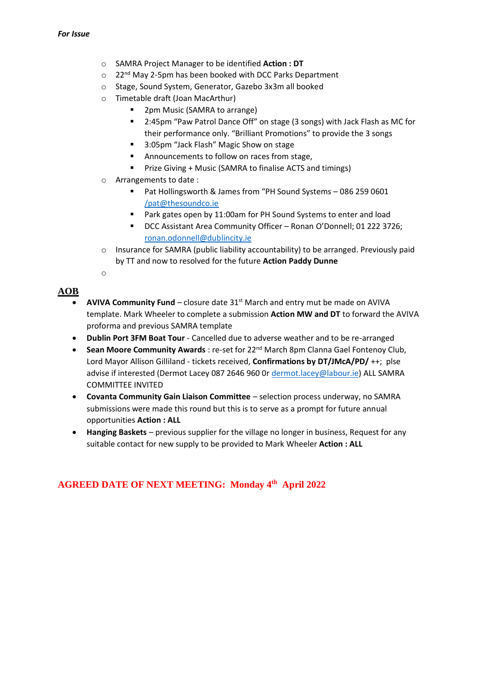- o SAMRA Project Manager to be identified **Action : DT**
- $\circ$  22<sup>nd</sup> May 2-5pm has been booked with DCC Parks Department
- o Stage, Sound System, Generator, Gazebo 3x3m all booked
- o Timetable draft (Joan MacArthur)
	- 2pm Music (SAMRA to arrange)
	- 2:45pm "Paw Patrol Dance Off" on stage (3 songs) with Jack Flash as MC for their performance only. "Brilliant Promotions" to provide the 3 songs
	- 3:05pm "Jack Flash" Magic Show on stage
	- Announcements to follow on races from stage,
	- Prize Giving + Music (SAMRA to finalise ACTS and timings)
- o Arrangements to date :
	- Pat Hollingsworth & James from "PH Sound Systems 086 259 0601 [/pat@thesoundco.ie](mailto:/pat@thesoundco.ie)
	- Park gates open by 11:00am for PH Sound Systems to enter and load
	- DCC Assistant Area Community Officer Ronan O'Donnell; 01 222 3726; [ronan.odonnell@dublincity.ie](mailto:ronan.odonnell@dublincity.ie)
- o Insurance for SAMRA (public liability accountability) to be arranged. Previously paid by TT and now to resolved for the future **Action Paddy Dunne**
- o

### **AOB**

- **AVIVA Community Fund** closure date 31st March and entry mut be made on AVIVA template. Mark Wheeler to complete a submission **Action MW and DT** to forward the AVIVA proforma and previous SAMRA template
- **Dublin Port 3FM Boat Tour** Cancelled due to adverse weather and to be re-arranged
- **Sean Moore Community Awards** : re-set for 22nd March 8pm Clanna Gael Fontenoy Club, Lord Mayor Allison Gilliland - tickets received, **Confirmations by DT/JMcA/PD/** ++; plse advise if interested (Dermot Lacey 087 2646 960 Or [dermot.lacey@labour.ie\)](mailto:dermot.lacey@labour.ie) ALL SAMRA COMMITTEE INVITED
- **Covanta Community Gain Liaison Committee** selection process underway, no SAMRA submissions were made this round but this is to serve as a prompt for future annual opportunities **Action : ALL**
- **Hanging Baskets**  previous supplier for the village no longer in business, Request for any suitable contact for new supply to be provided to Mark Wheeler **Action : ALL**

# **AGREED DATE OF NEXT MEETING: Monday 4 th April 2022**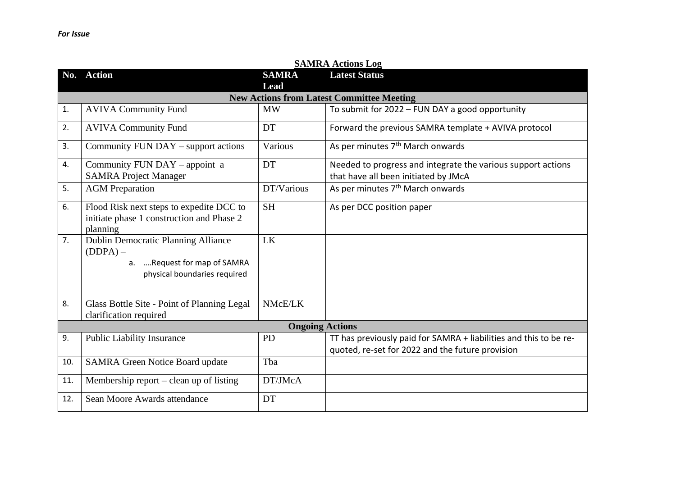|     | <b>SAMRA Actions Log</b>                                                                                         |              |                                                                                                                       |  |  |
|-----|------------------------------------------------------------------------------------------------------------------|--------------|-----------------------------------------------------------------------------------------------------------------------|--|--|
| No. | <b>Action</b>                                                                                                    | <b>SAMRA</b> | <b>Latest Status</b>                                                                                                  |  |  |
|     |                                                                                                                  | <b>Lead</b>  |                                                                                                                       |  |  |
|     |                                                                                                                  |              | <b>New Actions from Latest Committee Meeting</b>                                                                      |  |  |
| 1.  | <b>AVIVA Community Fund</b>                                                                                      | <b>MW</b>    | To submit for 2022 - FUN DAY a good opportunity                                                                       |  |  |
| 2.  | <b>AVIVA Community Fund</b>                                                                                      | <b>DT</b>    | Forward the previous SAMRA template + AVIVA protocol                                                                  |  |  |
| 3.  | Community FUN DAY – support actions                                                                              | Various      | As per minutes 7 <sup>th</sup> March onwards                                                                          |  |  |
| 4.  | Community FUN DAY - appoint a<br><b>SAMRA Project Manager</b>                                                    | DT           | Needed to progress and integrate the various support actions<br>that have all been initiated by JMcA                  |  |  |
| 5.  | <b>AGM</b> Preparation                                                                                           | DT/Various   | As per minutes 7 <sup>th</sup> March onwards                                                                          |  |  |
| 6.  | Flood Risk next steps to expedite DCC to<br>initiate phase 1 construction and Phase 2<br>planning                | <b>SH</b>    | As per DCC position paper                                                                                             |  |  |
| 7.  | Dublin Democratic Planning Alliance<br>$(DDPA)$ –<br>a. Request for map of SAMRA<br>physical boundaries required | LK           |                                                                                                                       |  |  |
| 8.  | Glass Bottle Site - Point of Planning Legal<br>clarification required                                            | NMcE/LK      |                                                                                                                       |  |  |
|     | <b>Ongoing Actions</b>                                                                                           |              |                                                                                                                       |  |  |
| 9.  | <b>Public Liability Insurance</b>                                                                                | <b>PD</b>    | TT has previously paid for SAMRA + liabilities and this to be re-<br>quoted, re-set for 2022 and the future provision |  |  |
| 10. | <b>SAMRA Green Notice Board update</b>                                                                           | Tba          |                                                                                                                       |  |  |
| 11. | Membership report $-$ clean up of listing                                                                        | DT/JMcA      |                                                                                                                       |  |  |
| 12. | Sean Moore Awards attendance                                                                                     | <b>DT</b>    |                                                                                                                       |  |  |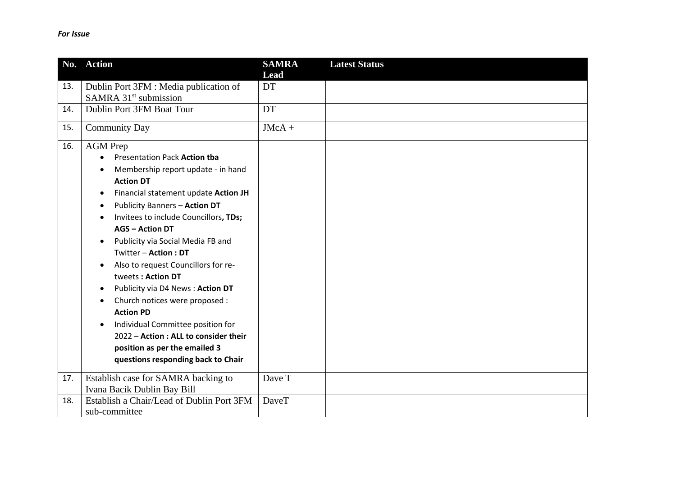|            | No. Action                                                                                                                                                                                                                                                                                                                                                                                                                                                                                                                                                                                                                                        | <b>SAMRA</b><br><b>Lead</b> | <b>Latest Status</b> |
|------------|---------------------------------------------------------------------------------------------------------------------------------------------------------------------------------------------------------------------------------------------------------------------------------------------------------------------------------------------------------------------------------------------------------------------------------------------------------------------------------------------------------------------------------------------------------------------------------------------------------------------------------------------------|-----------------------------|----------------------|
| 13.<br>14. | Dublin Port 3FM : Media publication of<br>SAMRA 31 <sup>st</sup> submission<br>Dublin Port 3FM Boat Tour                                                                                                                                                                                                                                                                                                                                                                                                                                                                                                                                          | DT<br>DT                    |                      |
| 15.        | <b>Community Day</b>                                                                                                                                                                                                                                                                                                                                                                                                                                                                                                                                                                                                                              | $JMcA +$                    |                      |
| 16.        | <b>AGM</b> Prep<br>Presentation Pack Action tba<br>Membership report update - in hand<br><b>Action DT</b><br>Financial statement update Action JH<br><b>Publicity Banners - Action DT</b><br>Invitees to include Councillors, TDs;<br><b>AGS - Action DT</b><br>Publicity via Social Media FB and<br>Twitter - Action: DT<br>Also to request Councillors for re-<br>tweets: Action DT<br>Publicity via D4 News: Action DT<br>Church notices were proposed :<br><b>Action PD</b><br>Individual Committee position for<br>$\bullet$<br>2022 - Action : ALL to consider their<br>position as per the emailed 3<br>questions responding back to Chair |                             |                      |
| 17.        | Establish case for SAMRA backing to<br>Ivana Bacik Dublin Bay Bill                                                                                                                                                                                                                                                                                                                                                                                                                                                                                                                                                                                | Dave T                      |                      |
| 18.        | Establish a Chair/Lead of Dublin Port 3FM<br>sub-committee                                                                                                                                                                                                                                                                                                                                                                                                                                                                                                                                                                                        | DaveT                       |                      |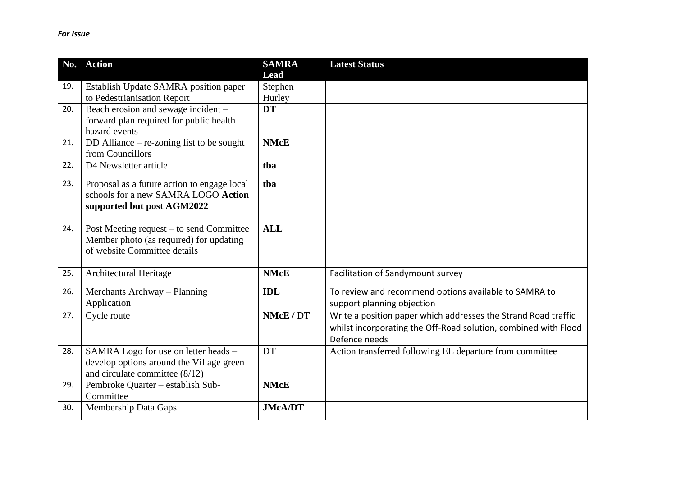|     | No. Action                                     | <b>SAMRA</b>    | <b>Latest Status</b>                                            |
|-----|------------------------------------------------|-----------------|-----------------------------------------------------------------|
| 19. | Establish Update SAMRA position paper          | Lead<br>Stephen |                                                                 |
|     | to Pedestrianisation Report                    | Hurley          |                                                                 |
| 20. | Beach erosion and sewage incident -            | <b>DT</b>       |                                                                 |
|     | forward plan required for public health        |                 |                                                                 |
|     | hazard events                                  |                 |                                                                 |
| 21. | DD Alliance – re-zoning list to be sought      | <b>NMcE</b>     |                                                                 |
|     | from Councillors                               |                 |                                                                 |
| 22. | D4 Newsletter article                          | tba             |                                                                 |
| 23. | Proposal as a future action to engage local    | tba             |                                                                 |
|     | schools for a new SAMRA LOGO Action            |                 |                                                                 |
|     | supported but post AGM2022                     |                 |                                                                 |
| 24. | Post Meeting request – to send Committee       | <b>ALL</b>      |                                                                 |
|     | Member photo (as required) for updating        |                 |                                                                 |
|     | of website Committee details                   |                 |                                                                 |
|     |                                                |                 |                                                                 |
| 25. | Architectural Heritage                         | <b>NMcE</b>     | Facilitation of Sandymount survey                               |
| 26. | Merchants Archway – Planning                   | <b>IDL</b>      | To review and recommend options available to SAMRA to           |
|     | Application                                    |                 | support planning objection                                      |
| 27. | Cycle route                                    | NMcE / DT       | Write a position paper which addresses the Strand Road traffic  |
|     |                                                |                 | whilst incorporating the Off-Road solution, combined with Flood |
|     |                                                |                 | Defence needs                                                   |
| 28. | SAMRA Logo for use on letter heads -           | DT              | Action transferred following EL departure from committee        |
|     | develop options around the Village green       |                 |                                                                 |
|     | and circulate committee $(8/12)$               | <b>NMcE</b>     |                                                                 |
| 29. | Pembroke Quarter - establish Sub-<br>Committee |                 |                                                                 |
| 30. | <b>Membership Data Gaps</b>                    | <b>JMcA/DT</b>  |                                                                 |
|     |                                                |                 |                                                                 |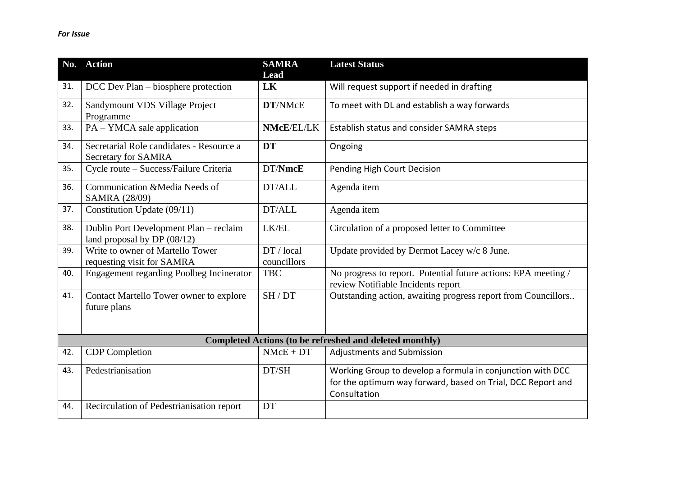|     | No. Action                                                              | <b>SAMRA</b><br><b>Lead</b> | <b>Latest Status</b>                                                                                                                      |
|-----|-------------------------------------------------------------------------|-----------------------------|-------------------------------------------------------------------------------------------------------------------------------------------|
| 31. | DCC Dev Plan - biosphere protection                                     | LK                          | Will request support if needed in drafting                                                                                                |
| 32. | Sandymount VDS Village Project<br>Programme                             | DT/NMcE                     | To meet with DL and establish a way forwards                                                                                              |
| 33. | PA – YMCA sale application                                              | NMcE/EL/LK                  | Establish status and consider SAMRA steps                                                                                                 |
| 34. | Secretarial Role candidates - Resource a<br>Secretary for SAMRA         | <b>DT</b>                   | Ongoing                                                                                                                                   |
| 35. | Cycle route - Success/Failure Criteria                                  | DT/NmcE                     | Pending High Court Decision                                                                                                               |
| 36. | Communication &Media Needs of<br>SAMRA (28/09)                          | DT/ALL                      | Agenda item                                                                                                                               |
| 37. | Constitution Update (09/11)                                             | DT/ALL                      | Agenda item                                                                                                                               |
| 38. | Dublin Port Development Plan - reclaim<br>land proposal by DP $(08/12)$ | LK/EL                       | Circulation of a proposed letter to Committee                                                                                             |
| 39. | Write to owner of Martello Tower<br>requesting visit for SAMRA          | DT / local<br>councillors   | Update provided by Dermot Lacey w/c 8 June.                                                                                               |
| 40. | Engagement regarding Poolbeg Incinerator                                | <b>TBC</b>                  | No progress to report. Potential future actions: EPA meeting /<br>review Notifiable Incidents report                                      |
| 41. | Contact Martello Tower owner to explore<br>future plans                 | SH/DT                       | Outstanding action, awaiting progress report from Councillors                                                                             |
|     |                                                                         |                             | <b>Completed Actions (to be refreshed and deleted monthly)</b>                                                                            |
| 42. | <b>CDP</b> Completion                                                   | $NMcE + DT$                 | Adjustments and Submission                                                                                                                |
| 43. | Pedestrianisation                                                       | DT/SH                       | Working Group to develop a formula in conjunction with DCC<br>for the optimum way forward, based on Trial, DCC Report and<br>Consultation |
| 44. | Recirculation of Pedestrianisation report                               | DT                          |                                                                                                                                           |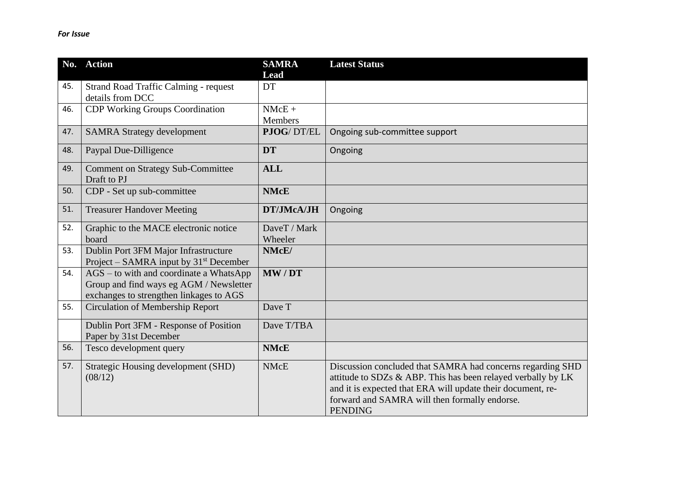|     | No. Action                                                                                                                      | <b>SAMRA</b><br>Lead    | <b>Latest Status</b>                                                                                                                                                                                                                                         |
|-----|---------------------------------------------------------------------------------------------------------------------------------|-------------------------|--------------------------------------------------------------------------------------------------------------------------------------------------------------------------------------------------------------------------------------------------------------|
| 45. | <b>Strand Road Traffic Calming - request</b><br>details from DCC                                                                | DT                      |                                                                                                                                                                                                                                                              |
| 46. | <b>CDP Working Groups Coordination</b>                                                                                          | $NMcE +$<br>Members     |                                                                                                                                                                                                                                                              |
| 47. | <b>SAMRA Strategy development</b>                                                                                               | PJOG/DT/EL              | Ongoing sub-committee support                                                                                                                                                                                                                                |
| 48. | Paypal Due-Dilligence                                                                                                           | <b>DT</b>               | Ongoing                                                                                                                                                                                                                                                      |
| 49. | <b>Comment on Strategy Sub-Committee</b><br>Draft to PJ                                                                         | <b>ALL</b>              |                                                                                                                                                                                                                                                              |
| 50. | CDP - Set up sub-committee                                                                                                      | <b>NMcE</b>             |                                                                                                                                                                                                                                                              |
| 51. | <b>Treasurer Handover Meeting</b>                                                                                               | DT/JMcA/JH              | Ongoing                                                                                                                                                                                                                                                      |
| 52. | Graphic to the MACE electronic notice<br>board                                                                                  | DaveT / Mark<br>Wheeler |                                                                                                                                                                                                                                                              |
| 53. | Dublin Port 3FM Major Infrastructure<br>Project – SAMRA input by $31st$ December                                                | NMcE/                   |                                                                                                                                                                                                                                                              |
| 54. | $AGS$ – to with and coordinate a WhatsApp<br>Group and find ways eg AGM / Newsletter<br>exchanges to strengthen linkages to AGS | MW/DT                   |                                                                                                                                                                                                                                                              |
| 55. | Circulation of Membership Report                                                                                                | Dave T                  |                                                                                                                                                                                                                                                              |
|     | Dublin Port 3FM - Response of Position<br>Paper by 31st December                                                                | Dave T/TBA              |                                                                                                                                                                                                                                                              |
| 56. | Tesco development query                                                                                                         | <b>NMcE</b>             |                                                                                                                                                                                                                                                              |
| 57. | Strategic Housing development (SHD)<br>(08/12)                                                                                  | <b>NMcE</b>             | Discussion concluded that SAMRA had concerns regarding SHD<br>attitude to SDZs & ABP. This has been relayed verbally by LK<br>and it is expected that ERA will update their document, re-<br>forward and SAMRA will then formally endorse.<br><b>PENDING</b> |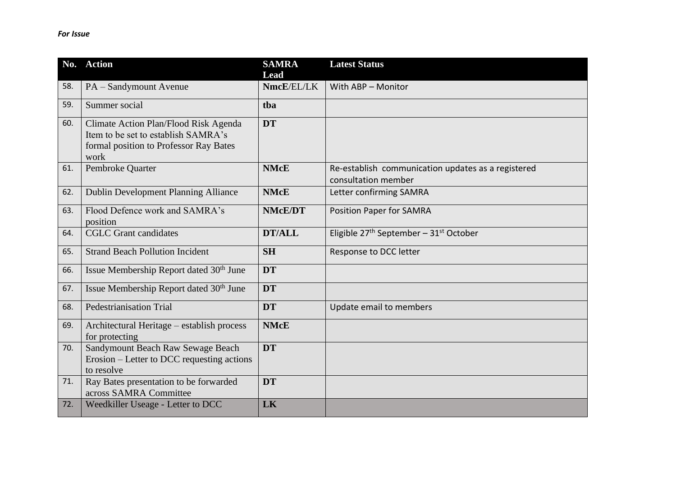|     | No. Action                                                                                                                     | <b>SAMRA</b><br>Lead | <b>Latest Status</b>                                                      |
|-----|--------------------------------------------------------------------------------------------------------------------------------|----------------------|---------------------------------------------------------------------------|
| 58. | PA - Sandymount Avenue                                                                                                         | NmcE/EL/LK           | With ABP - Monitor                                                        |
| 59. | Summer social                                                                                                                  | tba                  |                                                                           |
| 60. | Climate Action Plan/Flood Risk Agenda<br>Item to be set to establish SAMRA's<br>formal position to Professor Ray Bates<br>work | <b>DT</b>            |                                                                           |
| 61. | Pembroke Quarter                                                                                                               | <b>NMcE</b>          | Re-establish communication updates as a registered<br>consultation member |
| 62. | Dublin Development Planning Alliance                                                                                           | <b>NMcE</b>          | Letter confirming SAMRA                                                   |
| 63. | Flood Defence work and SAMRA's<br>position                                                                                     | <b>NMcE/DT</b>       | <b>Position Paper for SAMRA</b>                                           |
| 64. | <b>CGLC</b> Grant candidates                                                                                                   | <b>DT/ALL</b>        | Eligible $27th$ September – $31st$ October                                |
| 65. | <b>Strand Beach Pollution Incident</b>                                                                                         | <b>SH</b>            | Response to DCC letter                                                    |
| 66. | Issue Membership Report dated 30 <sup>th</sup> June                                                                            | <b>DT</b>            |                                                                           |
| 67. | Issue Membership Report dated 30 <sup>th</sup> June                                                                            | <b>DT</b>            |                                                                           |
| 68. | <b>Pedestrianisation Trial</b>                                                                                                 | <b>DT</b>            | Update email to members                                                   |
| 69. | Architectural Heritage – establish process<br>for protecting                                                                   | <b>NMcE</b>          |                                                                           |
| 70. | Sandymount Beach Raw Sewage Beach<br>Erosion – Letter to DCC requesting actions<br>to resolve                                  | <b>DT</b>            |                                                                           |
| 71. | Ray Bates presentation to be forwarded<br>across SAMRA Committee                                                               | <b>DT</b>            |                                                                           |
| 72. | Weedkiller Useage - Letter to DCC                                                                                              | LK                   |                                                                           |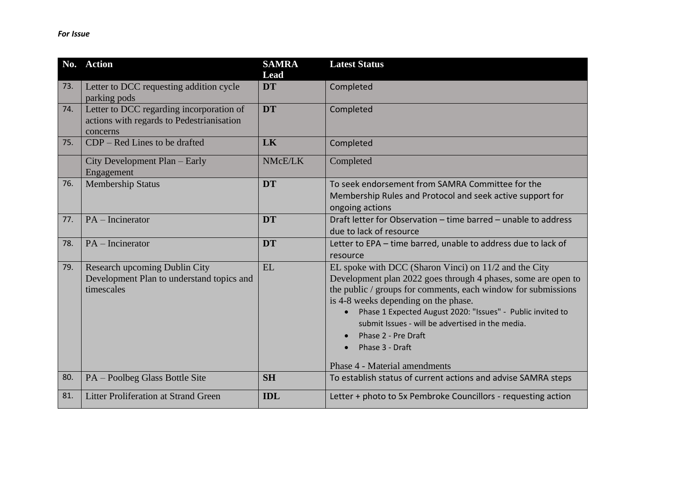|     | No. Action                                                                                        | <b>SAMRA</b><br><b>Lead</b> | <b>Latest Status</b>                                                                                                                                                                                                                                                                                                                                                                                                                      |
|-----|---------------------------------------------------------------------------------------------------|-----------------------------|-------------------------------------------------------------------------------------------------------------------------------------------------------------------------------------------------------------------------------------------------------------------------------------------------------------------------------------------------------------------------------------------------------------------------------------------|
| 73. | Letter to DCC requesting addition cycle<br>parking pods                                           | <b>DT</b>                   | Completed                                                                                                                                                                                                                                                                                                                                                                                                                                 |
| 74. | Letter to DCC regarding incorporation of<br>actions with regards to Pedestrianisation<br>concerns | <b>DT</b>                   | Completed                                                                                                                                                                                                                                                                                                                                                                                                                                 |
| 75. | $CDP - Red Lines$ to be drafted                                                                   | LK                          | Completed                                                                                                                                                                                                                                                                                                                                                                                                                                 |
|     | City Development Plan – Early<br>Engagement                                                       | NMcE/LK                     | Completed                                                                                                                                                                                                                                                                                                                                                                                                                                 |
| 76. | <b>Membership Status</b>                                                                          | <b>DT</b>                   | To seek endorsement from SAMRA Committee for the<br>Membership Rules and Protocol and seek active support for<br>ongoing actions                                                                                                                                                                                                                                                                                                          |
| 77. | $PA$ – Incinerator                                                                                | <b>DT</b>                   | Draft letter for Observation – time barred – unable to address<br>due to lack of resource                                                                                                                                                                                                                                                                                                                                                 |
| 78. | $PA$ – Incinerator                                                                                | <b>DT</b>                   | Letter to EPA - time barred, unable to address due to lack of<br>resource                                                                                                                                                                                                                                                                                                                                                                 |
| 79. | Research upcoming Dublin City<br>Development Plan to understand topics and<br>timescales          | <b>EL</b>                   | EL spoke with DCC (Sharon Vinci) on 11/2 and the City<br>Development plan 2022 goes through 4 phases, some are open to<br>the public / groups for comments, each window for submissions<br>is 4-8 weeks depending on the phase.<br>Phase 1 Expected August 2020: "Issues" - Public invited to<br>submit Issues - will be advertised in the media.<br>Phase 2 - Pre Draft<br>Phase 3 - Draft<br>$\bullet$<br>Phase 4 - Material amendments |
| 80. | PA - Poolbeg Glass Bottle Site                                                                    | <b>SH</b>                   | To establish status of current actions and advise SAMRA steps                                                                                                                                                                                                                                                                                                                                                                             |
| 81. | <b>Litter Proliferation at Strand Green</b>                                                       | <b>IDL</b>                  | Letter + photo to 5x Pembroke Councillors - requesting action                                                                                                                                                                                                                                                                                                                                                                             |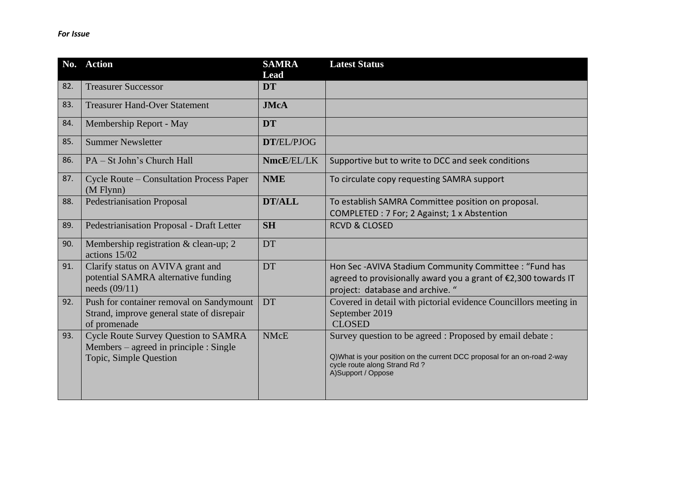| No. | <b>Action</b>                                                                                                   | <b>SAMRA</b><br>Lead | <b>Latest Status</b>                                                                                                                                                                        |
|-----|-----------------------------------------------------------------------------------------------------------------|----------------------|---------------------------------------------------------------------------------------------------------------------------------------------------------------------------------------------|
| 82. | <b>Treasurer Successor</b>                                                                                      | <b>DT</b>            |                                                                                                                                                                                             |
| 83. | <b>Treasurer Hand-Over Statement</b>                                                                            | <b>JMcA</b>          |                                                                                                                                                                                             |
| 84. | Membership Report - May                                                                                         | <b>DT</b>            |                                                                                                                                                                                             |
| 85. | <b>Summer Newsletter</b>                                                                                        | DT/EL/PJOG           |                                                                                                                                                                                             |
| 86. | PA – St John's Church Hall                                                                                      | NmcE/EL/LK           | Supportive but to write to DCC and seek conditions                                                                                                                                          |
| 87. | <b>Cycle Route – Consultation Process Paper</b><br>$(M$ Flynn $)$                                               | <b>NME</b>           | To circulate copy requesting SAMRA support                                                                                                                                                  |
| 88. | <b>Pedestrianisation Proposal</b>                                                                               | <b>DT/ALL</b>        | To establish SAMRA Committee position on proposal.<br>COMPLETED : 7 For; 2 Against; 1 x Abstention                                                                                          |
| 89. | <b>Pedestrianisation Proposal - Draft Letter</b>                                                                | <b>SH</b>            | <b>RCVD &amp; CLOSED</b>                                                                                                                                                                    |
| 90. | Membership registration & clean-up; 2<br>actions 15/02                                                          | <b>DT</b>            |                                                                                                                                                                                             |
| 91. | Clarify status on AVIVA grant and<br>potential SAMRA alternative funding<br>needs $(09/11)$                     | DT                   | Hon Sec-AVIVA Stadium Community Committee : "Fund has<br>agreed to provisionally award you a grant of €2,300 towards IT<br>project: database and archive. "                                 |
| 92. | Push for container removal on Sandymount<br>Strand, improve general state of disrepair<br>of promenade          | DT                   | Covered in detail with pictorial evidence Councillors meeting in<br>September 2019<br><b>CLOSED</b>                                                                                         |
| 93. | <b>Cycle Route Survey Question to SAMRA</b><br>Members – agreed in principle : Single<br>Topic, Simple Question | <b>NMcE</b>          | Survey question to be agreed : Proposed by email debate :<br>Q)What is your position on the current DCC proposal for an on-road 2-way<br>cycle route along Strand Rd?<br>A)Support / Oppose |